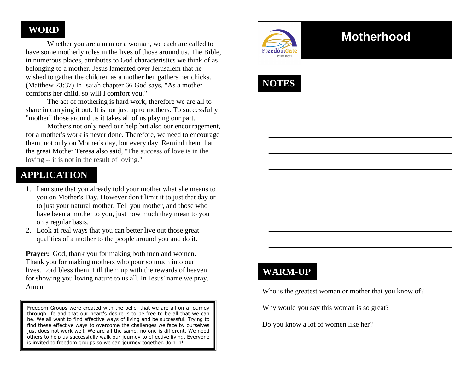### **WORD**

 Whether you are a man or a woman, we each are called to have some motherly roles in the lives of those around us. The Bible, in numerous places, attributes to God characteristics we think of as belonging to a mother. Jesus lamented over Jerusalem that he wished to gather the children as a mother hen gathers her chicks. (Matthew 23:37) In Isaiah chapter 66 God says, "As a mother comforts her child, so will I comfort you."

 The act of mothering is hard work, therefore we are all to share in carrying it out. It is not just up to mothers. To successfully "mother" those around us it takes all of us playing our part.

 Mothers not only need our help but also our encouragement, for a mother's work is never done. Therefore, we need to encourage them, not only on Mother's day, but every day. Remind them that the great Mother Teresa also said, "The success of love is in the loving -- it is not in the result of loving."

### **APPLICATION**

- 1. I am sure that you already told your mother what she means to you on Mother's Day. However don't limit it to just that day or to just your natural mother. Tell you mother, and those who have been a mother to you, just how much they mean to you on a regular basis.
- 2. Look at real ways that you can better live out those great qualities of a mother to the people around you and do it.

**Prayer:** God, thank you for making both men and women. Thank you for making mothers who pour so much into our lives. Lord bless them. Fill them up with the rewards of heaven for showing you loving nature to us all. In Jesus' name we pray. Amen

Freedom Groups were created with the belief that we are all on a journey through life and that our heart's desire is to be free to be all that we can be. We all want to find effective ways of living and be successful. Trying to find these effective ways to overcome the challenges we face by ourselves just does not work well. We are all the same, no one is different. We need others to help us successfully walk our journey to effective living. Everyone is invited to freedom groups so we can journey together. Join in!



# **Motherhood**



## **WARM-UP**

Who is the greatest woman or mother that you know of?

Why would you say this woman is so great?

Do you know a lot of women like her?